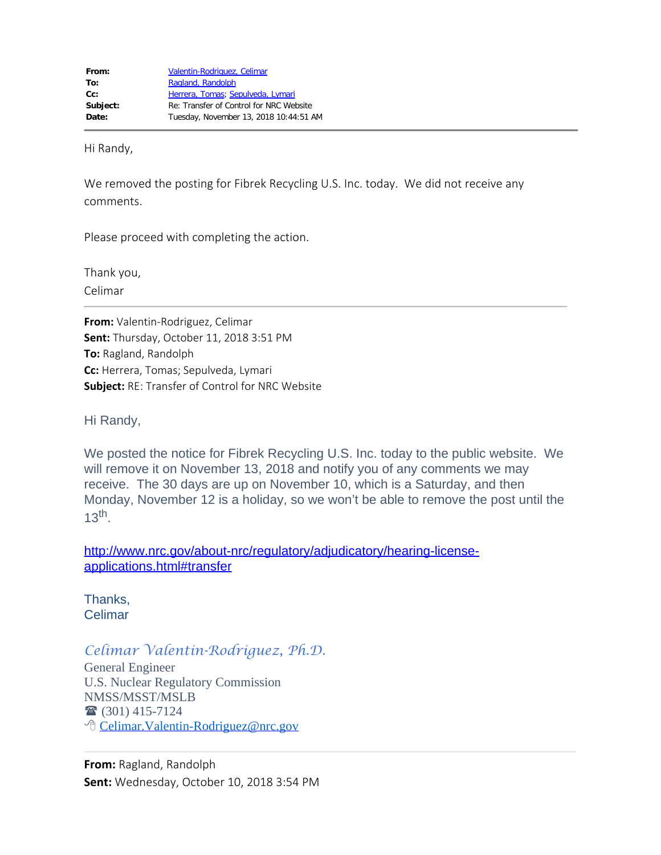Hi Randy,

We removed the posting for Fibrek Recycling U.S. Inc. today. We did not receive any comments.

Please proceed with completing the action.

Thank you, Celimar

**From:** Valentin-Rodriguez, Celimar **Sent:** Thursday, October 11, 2018 3:51 PM **To:** Ragland, Randolph **Cc:** Herrera, Tomas; Sepulveda, Lymari **Subject:** RE: Transfer of Control for NRC Website

Hi Randy,

We posted the notice for Fibrek Recycling U.S. Inc. today to the public website. We will remove it on November 13, 2018 and notify you of any comments we may receive. The 30 days are up on November 10, which is a Saturday, and then Monday, November 12 is a holiday, so we won't be able to remove the post until the  $13<sup>th</sup>$ .

[http://www.nrc.gov/about-nrc/regulatory/adjudicatory/hearing-license](http://www.nrc.gov/about-nrc/regulatory/adjudicatory/hearing-license-applications.html#transfer)[applications.html#transfer](http://www.nrc.gov/about-nrc/regulatory/adjudicatory/hearing-license-applications.html#transfer)

Thanks, Celimar

## *Celimar Valentin-Rodriguez, Ph.D.*

General Engineer U.S. Nuclear Regulatory Commission NMSS/MSST/MSLB  $\bullet$  (301) 415-7124 <sup></sub><sup>®</sup> Celimar. Valentin-Rodriguez@nrc.gov</sup>

**From:** Ragland, Randolph **Sent:** Wednesday, October 10, 2018 3:54 PM